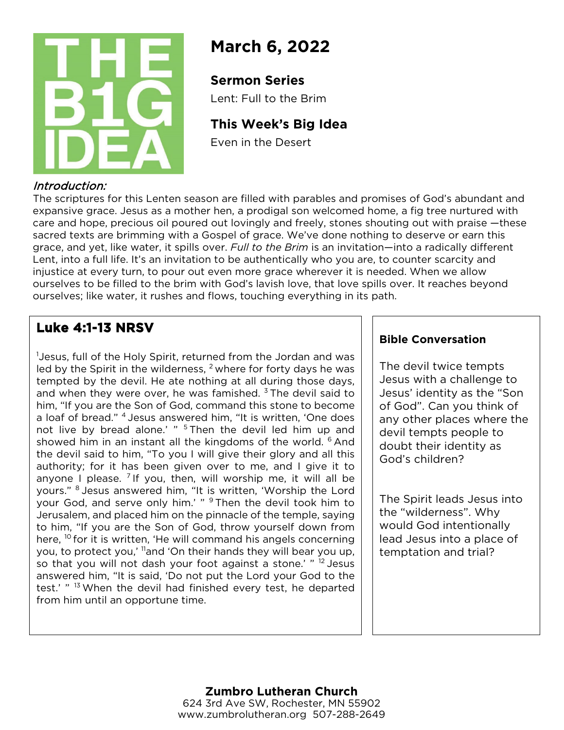

# **March 6, 2022**

## **Sermon Series**

Lent: Full to the Brim

# **This Week's Big Idea**

Even in the Desert

## Introduction:

The scriptures for this Lenten season are filled with parables and promises of God's abundant and expansive grace. Jesus as a mother hen, a prodigal son welcomed home, a fig tree nurtured with care and hope, precious oil poured out lovingly and freely, stones shouting out with praise —these sacred texts are brimming with a Gospel of grace. We've done nothing to deserve or earn this grace, and yet, like water, it spills over. *Full to the Brim* is an invitation—into a radically different Lent, into a full life. It's an invitation to be authentically who you are, to counter scarcity and injustice at every turn, to pour out even more grace wherever it is needed. When we allow ourselves to be filled to the brim with God's lavish love, that love spills over. It reaches beyond ourselves; like water, it rushes and flows, touching everything in its path.

# **Luke 4:1-13 NRSV**

1 Jesus, full of the Holy Spirit, returned from the Jordan and was led by the Spirit in the wilderness,  $2$  where for forty days he was tempted by the devil. He ate nothing at all during those days, and when they were over, he was famished.  $3$  The devil said to him, "If you are the Son of God, command this stone to become a loaf of bread." 4 Jesus answered him, "It is written, 'One does not live by bread alone.' " <sup>5</sup> Then the devil led him up and showed him in an instant all the kingdoms of the world. <sup>6</sup> And the devil said to him, "To you I will give their glory and all this authority; for it has been given over to me, and I give it to anyone I please. <sup>7</sup> If you, then, will worship me, it will all be yours." <sup>8</sup> Jesus answered him, "It is written, 'Worship the Lord your God, and serve only him.' " <sup>9</sup> Then the devil took him to Jerusalem, and placed him on the pinnacle of the temple, saying to him, "If you are the Son of God, throw yourself down from here, <sup>10</sup> for it is written, 'He will command his angels concerning you, to protect you,' 11and 'On their hands they will bear you up, so that you will not dash your foot against a stone.' " <sup>12</sup> Jesus answered him, "It is said, 'Do not put the Lord your God to the test.' "<sup>13</sup> When the devil had finished every test, he departed from him until an opportune time.

## **Bible Conversation**

The devil twice tempts Jesus with a challenge to Jesus' identity as the "Son of God". Can you think of any other places where the devil tempts people to doubt their identity as God's children?

The Spirit leads Jesus into the "wilderness". Why would God intentionally lead Jesus into a place of temptation and trial?